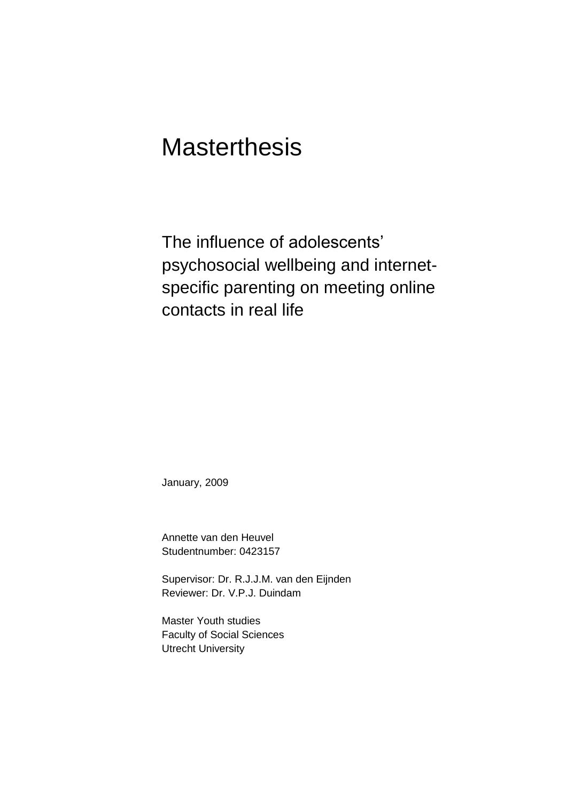# **Masterthesis**

The influence of adolescents' psychosocial wellbeing and internetspecific parenting on meeting online contacts in real life

January, 2009

Annette van den Heuvel Studentnumber: 0423157

Supervisor: Dr. R.J.J.M. van den Eijnden Reviewer: Dr. V.P.J. Duindam

Master Youth studies Faculty of Social Sciences Utrecht University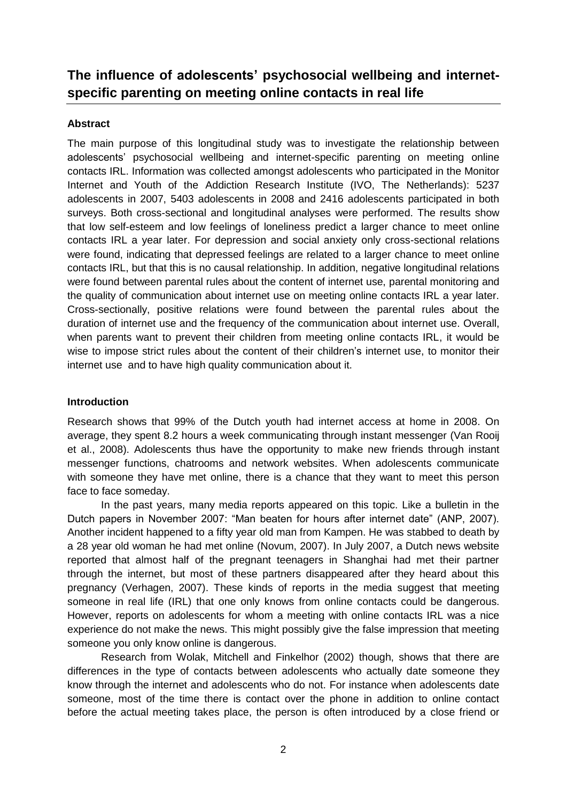# **The influence of adolescents' psychosocial wellbeing and internetspecific parenting on meeting online contacts in real life**

# **Abstract**

The main purpose of this longitudinal study was to investigate the relationship between adolescents" psychosocial wellbeing and internet-specific parenting on meeting online contacts IRL. Information was collected amongst adolescents who participated in the Monitor Internet and Youth of the Addiction Research Institute (IVO, The Netherlands): 5237 adolescents in 2007, 5403 adolescents in 2008 and 2416 adolescents participated in both surveys. Both cross-sectional and longitudinal analyses were performed. The results show that low self-esteem and low feelings of loneliness predict a larger chance to meet online contacts IRL a year later. For depression and social anxiety only cross-sectional relations were found, indicating that depressed feelings are related to a larger chance to meet online contacts IRL, but that this is no causal relationship. In addition, negative longitudinal relations were found between parental rules about the content of internet use, parental monitoring and the quality of communication about internet use on meeting online contacts IRL a year later. Cross-sectionally, positive relations were found between the parental rules about the duration of internet use and the frequency of the communication about internet use. Overall, when parents want to prevent their children from meeting online contacts IRL, it would be wise to impose strict rules about the content of their children's internet use, to monitor their internet use and to have high quality communication about it.

# **Introduction**

Research shows that 99% of the Dutch youth had internet access at home in 2008. On average, they spent 8.2 hours a week communicating through instant messenger (Van Rooij et al., 2008). Adolescents thus have the opportunity to make new friends through instant messenger functions, chatrooms and network websites. When adolescents communicate with someone they have met online, there is a chance that they want to meet this person face to face someday.

In the past years, many media reports appeared on this topic. Like a bulletin in the Dutch papers in November 2007: "Man beaten for hours after internet date" (ANP, 2007). Another incident happened to a fifty year old man from Kampen. He was stabbed to death by a 28 year old woman he had met online (Novum, 2007). In July 2007, a Dutch news website reported that almost half of the pregnant teenagers in Shanghai had met their partner through the internet, but most of these partners disappeared after they heard about this pregnancy (Verhagen, 2007). These kinds of reports in the media suggest that meeting someone in real life (IRL) that one only knows from online contacts could be dangerous. However, reports on adolescents for whom a meeting with online contacts IRL was a nice experience do not make the news. This might possibly give the false impression that meeting someone you only know online is dangerous.

Research from Wolak, Mitchell and Finkelhor (2002) though, shows that there are differences in the type of contacts between adolescents who actually date someone they know through the internet and adolescents who do not. For instance when adolescents date someone, most of the time there is contact over the phone in addition to online contact before the actual meeting takes place, the person is often introduced by a close friend or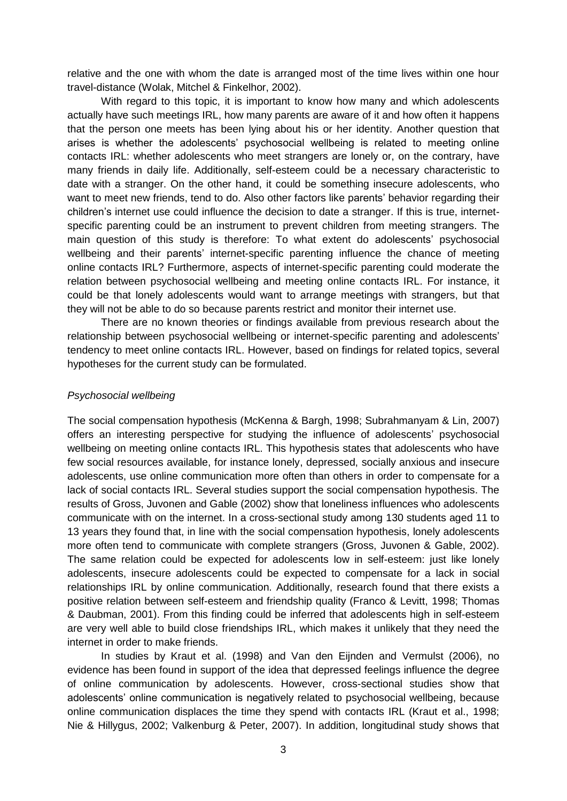relative and the one with whom the date is arranged most of the time lives within one hour travel-distance (Wolak, Mitchel & Finkelhor, 2002).

With regard to this topic, it is important to know how many and which adolescents actually have such meetings IRL, how many parents are aware of it and how often it happens that the person one meets has been lying about his or her identity. Another question that arises is whether the adolescents" psychosocial wellbeing is related to meeting online contacts IRL: whether adolescents who meet strangers are lonely or, on the contrary, have many friends in daily life. Additionally, self-esteem could be a necessary characteristic to date with a stranger. On the other hand, it could be something insecure adolescents, who want to meet new friends, tend to do. Also other factors like parents' behavior regarding their children"s internet use could influence the decision to date a stranger. If this is true, internetspecific parenting could be an instrument to prevent children from meeting strangers. The main question of this study is therefore: To what extent do adolescents" psychosocial wellbeing and their parents' internet-specific parenting influence the chance of meeting online contacts IRL? Furthermore, aspects of internet-specific parenting could moderate the relation between psychosocial wellbeing and meeting online contacts IRL. For instance, it could be that lonely adolescents would want to arrange meetings with strangers, but that they will not be able to do so because parents restrict and monitor their internet use.

There are no known theories or findings available from previous research about the relationship between psychosocial wellbeing or internet-specific parenting and adolescents" tendency to meet online contacts IRL. However, based on findings for related topics, several hypotheses for the current study can be formulated.

#### *Psychosocial wellbeing*

The social compensation hypothesis (McKenna & Bargh, 1998; Subrahmanyam & Lin, 2007) offers an interesting perspective for studying the influence of adolescents" psychosocial wellbeing on meeting online contacts IRL. This hypothesis states that adolescents who have few social resources available, for instance lonely, depressed, socially anxious and insecure adolescents, use online communication more often than others in order to compensate for a lack of social contacts IRL. Several studies support the social compensation hypothesis. The results of Gross, Juvonen and Gable (2002) show that loneliness influences who adolescents communicate with on the internet. In a cross-sectional study among 130 students aged 11 to 13 years they found that, in line with the social compensation hypothesis, lonely adolescents more often tend to communicate with complete strangers (Gross, Juvonen & Gable, 2002). The same relation could be expected for adolescents low in self-esteem: just like lonely adolescents, insecure adolescents could be expected to compensate for a lack in social relationships IRL by online communication. Additionally, research found that there exists a positive relation between self-esteem and friendship quality (Franco & Levitt, 1998; Thomas & Daubman, 2001). From this finding could be inferred that adolescents high in self-esteem are very well able to build close friendships IRL, which makes it unlikely that they need the internet in order to make friends.

In studies by Kraut et al. (1998) and Van den Eijnden and Vermulst (2006), no evidence has been found in support of the idea that depressed feelings influence the degree of online communication by adolescents. However, cross-sectional studies show that adolescents' online communication is negatively related to psychosocial wellbeing, because online communication displaces the time they spend with contacts IRL (Kraut et al., 1998; Nie & Hillygus, 2002; Valkenburg & Peter, 2007). In addition, longitudinal study shows that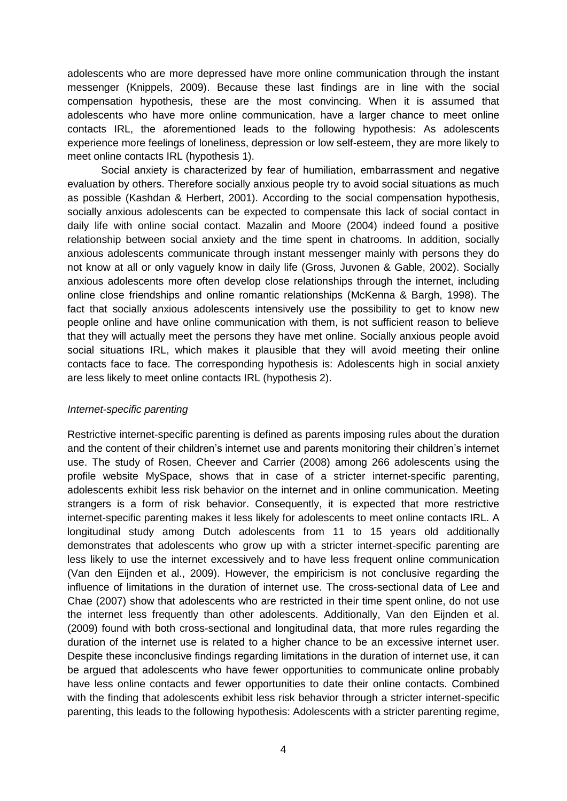adolescents who are more depressed have more online communication through the instant messenger (Knippels, 2009). Because these last findings are in line with the social compensation hypothesis, these are the most convincing. When it is assumed that adolescents who have more online communication, have a larger chance to meet online contacts IRL, the aforementioned leads to the following hypothesis: As adolescents experience more feelings of loneliness, depression or low self-esteem, they are more likely to meet online contacts IRL (hypothesis 1).

Social anxiety is characterized by fear of humiliation, embarrassment and negative evaluation by others. Therefore socially anxious people try to avoid social situations as much as possible (Kashdan & Herbert, 2001). According to the social compensation hypothesis, socially anxious adolescents can be expected to compensate this lack of social contact in daily life with online social contact. Mazalin and Moore (2004) indeed found a positive relationship between social anxiety and the time spent in chatrooms. In addition, socially anxious adolescents communicate through instant messenger mainly with persons they do not know at all or only vaguely know in daily life (Gross, Juvonen & Gable, 2002). Socially anxious adolescents more often develop close relationships through the internet, including online close friendships and online romantic relationships (McKenna & Bargh, 1998). The fact that socially anxious adolescents intensively use the possibility to get to know new people online and have online communication with them, is not sufficient reason to believe that they will actually meet the persons they have met online. Socially anxious people avoid social situations IRL, which makes it plausible that they will avoid meeting their online contacts face to face. The corresponding hypothesis is: Adolescents high in social anxiety are less likely to meet online contacts IRL (hypothesis 2).

# *Internet-specific parenting*

Restrictive internet-specific parenting is defined as parents imposing rules about the duration and the content of their children"s internet use and parents monitoring their children"s internet use. The study of Rosen, Cheever and Carrier (2008) among 266 adolescents using the profile website MySpace, shows that in case of a stricter internet-specific parenting, adolescents exhibit less risk behavior on the internet and in online communication. Meeting strangers is a form of risk behavior. Consequently, it is expected that more restrictive internet-specific parenting makes it less likely for adolescents to meet online contacts IRL. A longitudinal study among Dutch adolescents from 11 to 15 years old additionally demonstrates that adolescents who grow up with a stricter internet-specific parenting are less likely to use the internet excessively and to have less frequent online communication (Van den Eijnden et al., 2009). However, the empiricism is not conclusive regarding the influence of limitations in the duration of internet use. The cross-sectional data of Lee and Chae (2007) show that adolescents who are restricted in their time spent online, do not use the internet less frequently than other adolescents. Additionally, Van den Eijnden et al. (2009) found with both cross-sectional and longitudinal data, that more rules regarding the duration of the internet use is related to a higher chance to be an excessive internet user. Despite these inconclusive findings regarding limitations in the duration of internet use, it can be argued that adolescents who have fewer opportunities to communicate online probably have less online contacts and fewer opportunities to date their online contacts. Combined with the finding that adolescents exhibit less risk behavior through a stricter internet-specific parenting, this leads to the following hypothesis: Adolescents with a stricter parenting regime,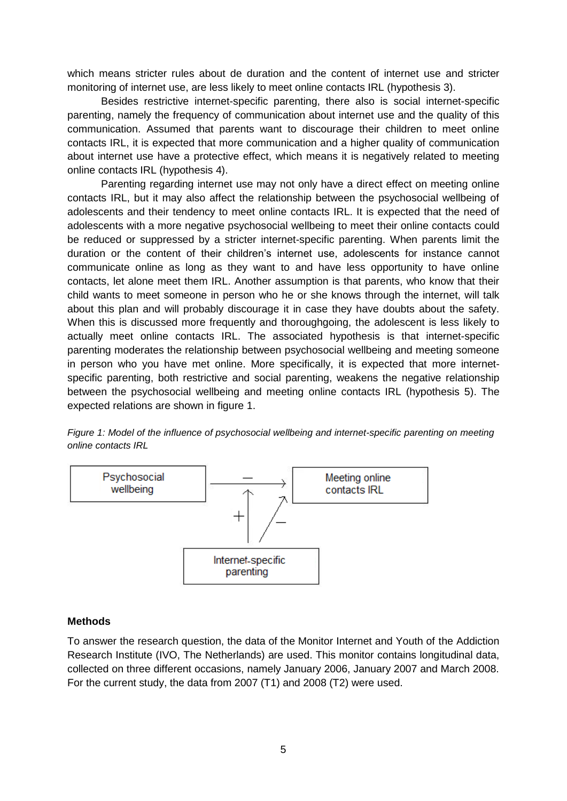which means stricter rules about de duration and the content of internet use and stricter monitoring of internet use, are less likely to meet online contacts IRL (hypothesis 3).

Besides restrictive internet-specific parenting, there also is social internet-specific parenting, namely the frequency of communication about internet use and the quality of this communication. Assumed that parents want to discourage their children to meet online contacts IRL, it is expected that more communication and a higher quality of communication about internet use have a protective effect, which means it is negatively related to meeting online contacts IRL (hypothesis 4).

Parenting regarding internet use may not only have a direct effect on meeting online contacts IRL, but it may also affect the relationship between the psychosocial wellbeing of adolescents and their tendency to meet online contacts IRL. It is expected that the need of adolescents with a more negative psychosocial wellbeing to meet their online contacts could be reduced or suppressed by a stricter internet-specific parenting. When parents limit the duration or the content of their children"s internet use, adolescents for instance cannot communicate online as long as they want to and have less opportunity to have online contacts, let alone meet them IRL. Another assumption is that parents, who know that their child wants to meet someone in person who he or she knows through the internet, will talk about this plan and will probably discourage it in case they have doubts about the safety. When this is discussed more frequently and thoroughgoing, the adolescent is less likely to actually meet online contacts IRL. The associated hypothesis is that internet-specific parenting moderates the relationship between psychosocial wellbeing and meeting someone in person who you have met online. More specifically, it is expected that more internetspecific parenting, both restrictive and social parenting, weakens the negative relationship between the psychosocial wellbeing and meeting online contacts IRL (hypothesis 5). The expected relations are shown in figure [1.](#page-4-0)

<span id="page-4-0"></span>*Figure 1: Model of the influence of psychosocial wellbeing and internet-specific parenting on meeting online contacts IRL*



# **Methods**

To answer the research question, the data of the Monitor Internet and Youth of the Addiction Research Institute (IVO, The Netherlands) are used. This monitor contains longitudinal data, collected on three different occasions, namely January 2006, January 2007 and March 2008. For the current study, the data from 2007 (T1) and 2008 (T2) were used.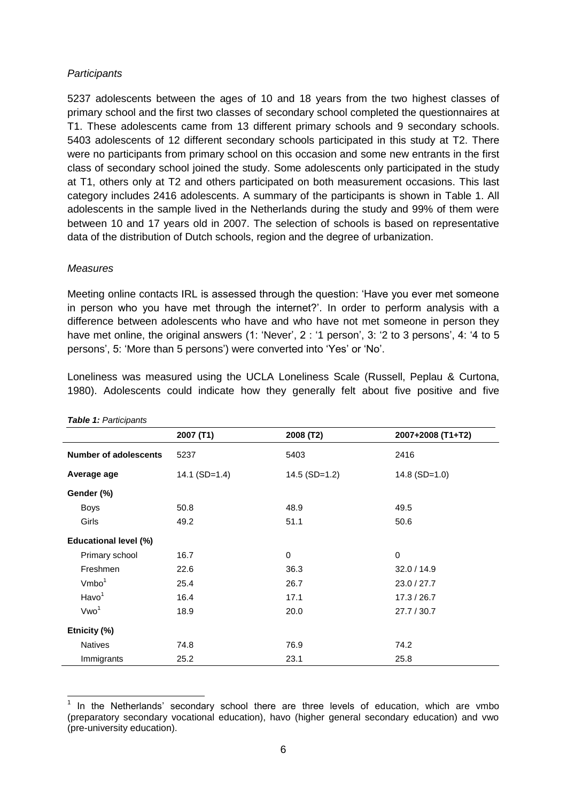# *Participants*

5237 adolescents between the ages of 10 and 18 years from the two highest classes of primary school and the first two classes of secondary school completed the questionnaires at T1. These adolescents came from 13 different primary schools and 9 secondary schools. 5403 adolescents of 12 different secondary schools participated in this study at T2. There were no participants from primary school on this occasion and some new entrants in the first class of secondary school joined the study. Some adolescents only participated in the study at T1, others only at T2 and others participated on both measurement occasions. This last category includes 2416 adolescents. A summary of the participants is shown in Table 1. All adolescents in the sample lived in the Netherlands during the study and 99% of them were between 10 and 17 years old in 2007. The selection of schools is based on representative data of the distribution of Dutch schools, region and the degree of urbanization.

# *Measures*

Meeting online contacts IRL is assessed through the question: "Have you ever met someone in person who you have met through the internet?". In order to perform analysis with a difference between adolescents who have and who have not met someone in person they have met online, the original answers (1: 'Never', 2 : '1 person', 3: '2 to 3 persons', 4: '4 to 5 persons', 5: 'More than 5 persons') were converted into 'Yes' or 'No'.

Loneliness was measured using the UCLA Loneliness Scale (Russell, Peplau & Curtona, 1980). Adolescents could indicate how they generally felt about five positive and five

|                              | 2007 (T1)       | 2008 (T2)       | 2007+2008 (T1+T2) |  |  |
|------------------------------|-----------------|-----------------|-------------------|--|--|
| <b>Number of adolescents</b> | 5237            | 5403            | 2416              |  |  |
| Average age                  | 14.1 $(SD=1.4)$ | $14.5$ (SD=1.2) | $14.8$ (SD=1.0)   |  |  |
| Gender (%)                   |                 |                 |                   |  |  |
| <b>Boys</b>                  | 50.8            | 48.9            | 49.5              |  |  |
| Girls                        | 49.2            | 51.1            | 50.6              |  |  |
| Educational level (%)        |                 |                 |                   |  |  |
| Primary school               | 16.7            | $\mathbf 0$     | $\mathbf 0$       |  |  |
| Freshmen                     | 22.6            | 36.3            | 32.0 / 14.9       |  |  |
| Vmbo <sup>1</sup>            | 25.4            | 26.7            | 23.0 / 27.7       |  |  |
| Havo <sup>1</sup>            | 16.4            | 17.1            | 17.3 / 26.7       |  |  |
| Vwo <sup>1</sup>             | 18.9            | 20.0            | 27.7 / 30.7       |  |  |
| Etnicity (%)                 |                 |                 |                   |  |  |
| <b>Natives</b>               | 74.8            | 76.9            | 74.2              |  |  |
| Immigrants                   | 25.2            | 23.1            | 25.8              |  |  |

*Table 1: Participants*

 $\overline{a}$ 

<sup>1</sup> In the Netherlands" secondary school there are three levels of education, which are vmbo (preparatory secondary vocational education), havo (higher general secondary education) and vwo (pre-university education).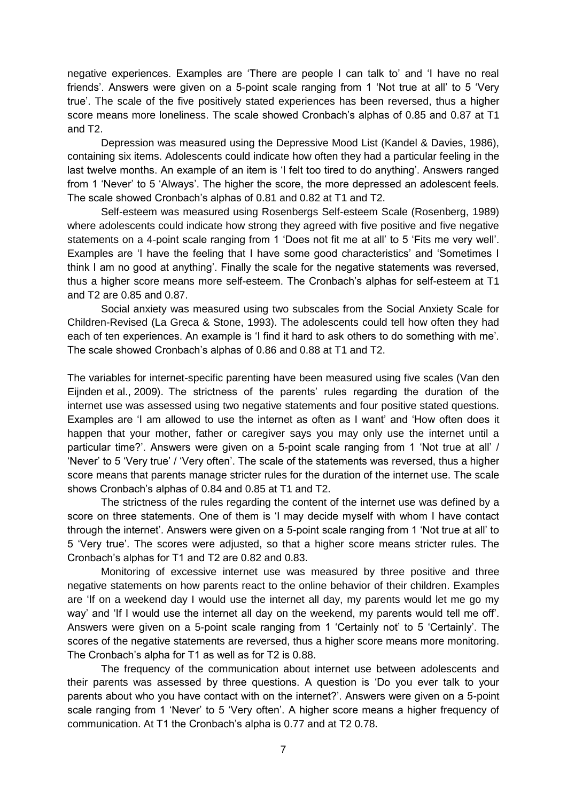negative experiences. Examples are "There are people I can talk to" and "I have no real friends". Answers were given on a 5-point scale ranging from 1 "Not true at all" to 5 "Very true". The scale of the five positively stated experiences has been reversed, thus a higher score means more loneliness. The scale showed Cronbach's alphas of 0.85 and 0.87 at T1 and T2.

Depression was measured using the Depressive Mood List (Kandel & Davies, 1986), containing six items. Adolescents could indicate how often they had a particular feeling in the last twelve months. An example of an item is "I felt too tired to do anything". Answers ranged from 1 "Never" to 5 "Always". The higher the score, the more depressed an adolescent feels. The scale showed Cronbach"s alphas of 0.81 and 0.82 at T1 and T2.

Self-esteem was measured using Rosenbergs Self-esteem Scale (Rosenberg, 1989) where adolescents could indicate how strong they agreed with five positive and five negative statements on a 4-point scale ranging from 1 "Does not fit me at all" to 5 "Fits me very well". Examples are "I have the feeling that I have some good characteristics" and "Sometimes I think I am no good at anything". Finally the scale for the negative statements was reversed, thus a higher score means more self-esteem. The Cronbach"s alphas for self-esteem at T1 and T2 are 0.85 and 0.87.

Social anxiety was measured using two subscales from the Social Anxiety Scale for Children-Revised (La Greca & Stone, 1993). The adolescents could tell how often they had each of ten experiences. An example is 'I find it hard to ask others to do something with me'. The scale showed Cronbach"s alphas of 0.86 and 0.88 at T1 and T2.

The variables for internet-specific parenting have been measured using five scales (Van den Eijnden et al., 2009). The strictness of the parents' rules regarding the duration of the internet use was assessed using two negative statements and four positive stated questions. Examples are "I am allowed to use the internet as often as I want" and "How often does it happen that your mother, father or caregiver says you may only use the internet until a particular time?'. Answers were given on a 5-point scale ranging from 1 'Not true at all' / "Never" to 5 "Very true" / "Very often". The scale of the statements was reversed, thus a higher score means that parents manage stricter rules for the duration of the internet use. The scale shows Cronbach"s alphas of 0.84 and 0.85 at T1 and T2.

The strictness of the rules regarding the content of the internet use was defined by a score on three statements. One of them is 'I may decide myself with whom I have contact through the internet". Answers were given on a 5-point scale ranging from 1 "Not true at all" to 5 "Very true". The scores were adjusted, so that a higher score means stricter rules. The Cronbach"s alphas for T1 and T2 are 0.82 and 0.83.

Monitoring of excessive internet use was measured by three positive and three negative statements on how parents react to the online behavior of their children. Examples are "If on a weekend day I would use the internet all day, my parents would let me go my way" and "If I would use the internet all day on the weekend, my parents would tell me off". Answers were given on a 5-point scale ranging from 1 "Certainly not" to 5 "Certainly". The scores of the negative statements are reversed, thus a higher score means more monitoring. The Cronbach"s alpha for T1 as well as for T2 is 0.88.

The frequency of the communication about internet use between adolescents and their parents was assessed by three questions. A question is "Do you ever talk to your parents about who you have contact with on the internet?". Answers were given on a 5-point scale ranging from 1 'Never' to 5 'Very often'. A higher score means a higher frequency of communication. At T1 the Cronbach"s alpha is 0.77 and at T2 0.78.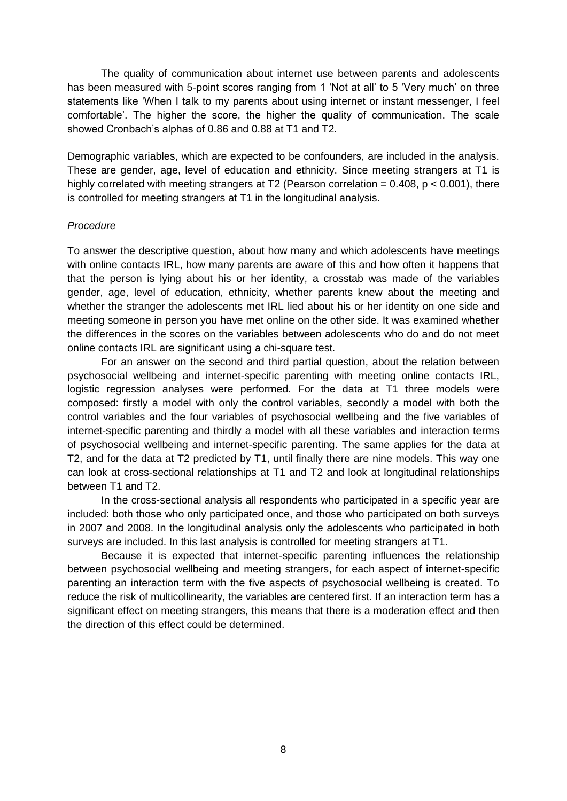The quality of communication about internet use between parents and adolescents has been measured with 5-point scores ranging from 1 'Not at all' to 5 'Very much' on three statements like "When I talk to my parents about using internet or instant messenger, I feel comfortable". The higher the score, the higher the quality of communication. The scale showed Cronbach"s alphas of 0.86 and 0.88 at T1 and T2.

Demographic variables, which are expected to be confounders, are included in the analysis. These are gender, age, level of education and ethnicity. Since meeting strangers at T1 is highly correlated with meeting strangers at T2 (Pearson correlation =  $0.408$ ,  $p < 0.001$ ), there is controlled for meeting strangers at T1 in the longitudinal analysis.

## *Procedure*

To answer the descriptive question, about how many and which adolescents have meetings with online contacts IRL, how many parents are aware of this and how often it happens that that the person is lying about his or her identity, a crosstab was made of the variables gender, age, level of education, ethnicity, whether parents knew about the meeting and whether the stranger the adolescents met IRL lied about his or her identity on one side and meeting someone in person you have met online on the other side. It was examined whether the differences in the scores on the variables between adolescents who do and do not meet online contacts IRL are significant using a chi-square test.

For an answer on the second and third partial question, about the relation between psychosocial wellbeing and internet-specific parenting with meeting online contacts IRL, logistic regression analyses were performed. For the data at T1 three models were composed: firstly a model with only the control variables, secondly a model with both the control variables and the four variables of psychosocial wellbeing and the five variables of internet-specific parenting and thirdly a model with all these variables and interaction terms of psychosocial wellbeing and internet-specific parenting. The same applies for the data at T2, and for the data at T2 predicted by T1, until finally there are nine models. This way one can look at cross-sectional relationships at T1 and T2 and look at longitudinal relationships between T1 and T2.

In the cross-sectional analysis all respondents who participated in a specific year are included: both those who only participated once, and those who participated on both surveys in 2007 and 2008. In the longitudinal analysis only the adolescents who participated in both surveys are included. In this last analysis is controlled for meeting strangers at T1.

Because it is expected that internet-specific parenting influences the relationship between psychosocial wellbeing and meeting strangers, for each aspect of internet-specific parenting an interaction term with the five aspects of psychosocial wellbeing is created. To reduce the risk of multicollinearity, the variables are centered first. If an interaction term has a significant effect on meeting strangers, this means that there is a moderation effect and then the direction of this effect could be determined.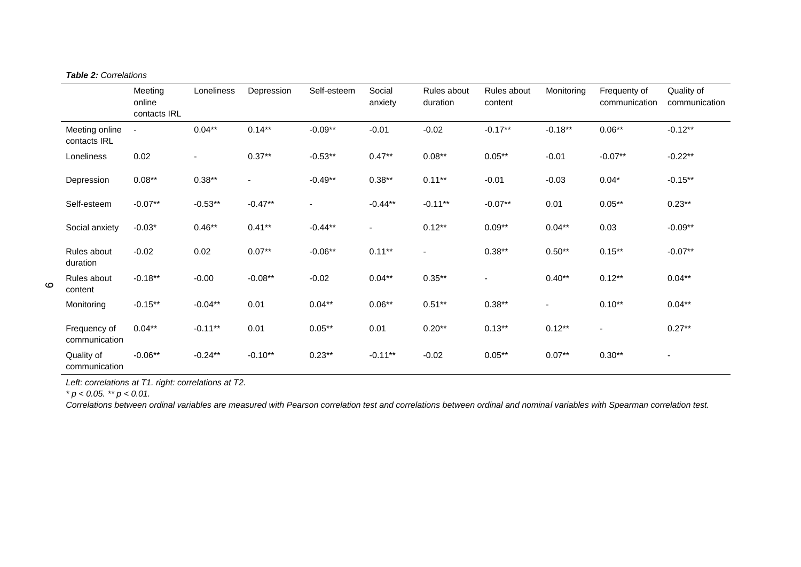|                                | Meeting<br>online<br>contacts IRL | Loneliness | Depression | Self-esteem | Social<br>anxiety        | Rules about<br>duration | Rules about<br>content | Monitoring               | Frequenty of<br>communication | Quality of<br>communication |
|--------------------------------|-----------------------------------|------------|------------|-------------|--------------------------|-------------------------|------------------------|--------------------------|-------------------------------|-----------------------------|
| Meeting online<br>contacts IRL | $\overline{\phantom{a}}$          | $0.04***$  | $0.14***$  | $-0.09**$   | $-0.01$                  | $-0.02$                 | $-0.17***$             | $-0.18***$               | $0.06**$                      | $-0.12**$                   |
| Loneliness                     | 0.02                              |            | $0.37***$  | $-0.53**$   | $0.47**$                 | $0.08**$                | $0.05***$              | $-0.01$                  | $-0.07**$                     | $-0.22**$                   |
| Depression                     | $0.08***$                         | $0.38**$   |            | $-0.49**$   | $0.38**$                 | $0.11***$               | $-0.01$                | $-0.03$                  | $0.04*$                       | $-0.15***$                  |
| Self-esteem                    | $-0.07**$                         | $-0.53**$  | $-0.47**$  |             | $-0.44**$                | $-0.11***$              | $-0.07**$              | 0.01                     | $0.05***$                     | $0.23**$                    |
| Social anxiety                 | $-0.03*$                          | $0.46**$   | $0.41***$  | $-0.44**$   | $\overline{\phantom{a}}$ | $0.12***$               | $0.09**$               | $0.04**$                 | 0.03                          | $-0.09**$                   |
| Rules about<br>duration        | $-0.02$                           | 0.02       | $0.07**$   | $-0.06**$   | $0.11***$                |                         | $0.38**$               | $0.50**$                 | $0.15***$                     | $-0.07**$                   |
| Rules about<br>content         | $-0.18**$                         | $-0.00$    | $-0.08**$  | $-0.02$     | $0.04**$                 | $0.35***$               |                        | $0.40**$                 | $0.12***$                     | $0.04**$                    |
| Monitoring                     | $-0.15***$                        | $-0.04**$  | 0.01       | $0.04**$    | $0.06**$                 | $0.51***$               | $0.38***$              | $\overline{\phantom{a}}$ | $0.10**$                      | $0.04**$                    |
| Frequency of<br>communication  | $0.04***$                         | $-0.11***$ | 0.01       | $0.05***$   | 0.01                     | $0.20**$                | $0.13***$              | $0.12***$                | $\overline{\phantom{a}}$      | $0.27**$                    |
| Quality of<br>communication    | $-0.06**$                         | $-0.24**$  | $-0.10**$  | $0.23**$    | $-0.11***$               | $-0.02$                 | $0.05***$              | $0.07**$                 | $0.30**$                      | $\overline{\phantom{a}}$    |

*Left: correlations at T1. right: correlations at T2.*

*\* p < 0.05. \*\* p < 0.01.*

*Correlations between ordinal variables are measured with Pearson correlation test and correlations between ordinal and nominal variables with Spearman correlation test.*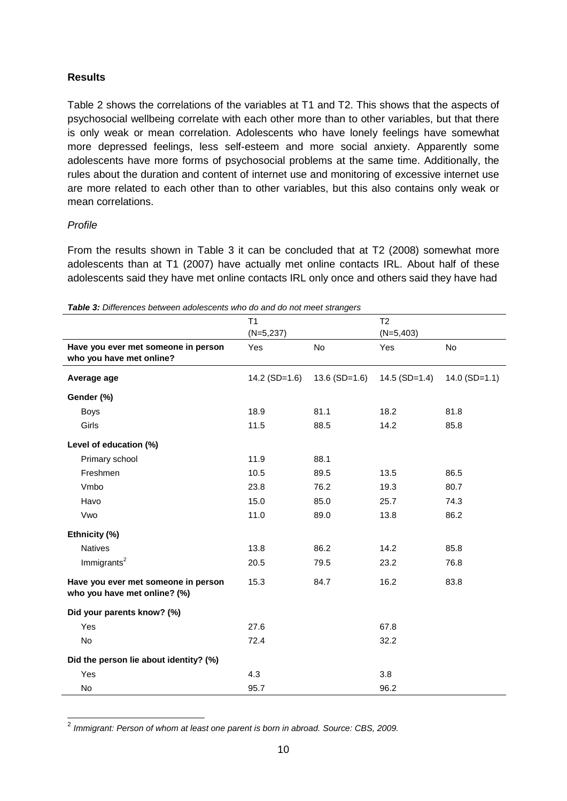# **Results**

Table 2 shows the correlations of the variables at T1 and T2. This shows that the aspects of psychosocial wellbeing correlate with each other more than to other variables, but that there is only weak or mean correlation. Adolescents who have lonely feelings have somewhat more depressed feelings, less self-esteem and more social anxiety. Apparently some adolescents have more forms of psychosocial problems at the same time. Additionally, the rules about the duration and content of internet use and monitoring of excessive internet use are more related to each other than to other variables, but this also contains only weak or mean correlations.

# *Profile*

From the results shown in Table 3 it can be concluded that at T2 (2008) somewhat more adolescents than at T1 (2007) have actually met online contacts IRL. About half of these adolescents said they have met online contacts IRL only once and others said they have had

|                                                                     | T1              |                 | T <sub>2</sub>  |                 |
|---------------------------------------------------------------------|-----------------|-----------------|-----------------|-----------------|
|                                                                     | $(N=5,237)$     |                 | $(N=5,403)$     |                 |
| Have you ever met someone in person                                 | Yes             | No              | Yes             | No              |
| who you have met online?                                            |                 |                 |                 |                 |
| Average age                                                         | $14.2$ (SD=1.6) | $13.6$ (SD=1.6) | $14.5$ (SD=1.4) | $14.0$ (SD=1.1) |
| Gender (%)                                                          |                 |                 |                 |                 |
| <b>Boys</b>                                                         | 18.9            | 81.1            | 18.2            | 81.8            |
| Girls                                                               | 11.5            | 88.5            | 14.2            | 85.8            |
| Level of education (%)                                              |                 |                 |                 |                 |
| Primary school                                                      | 11.9            | 88.1            |                 |                 |
| Freshmen                                                            | 10.5            | 89.5            | 13.5            | 86.5            |
| Vmbo                                                                | 23.8            | 76.2            | 19.3            | 80.7            |
| Havo                                                                | 15.0            | 85.0            | 25.7            | 74.3            |
| Vwo                                                                 | 11.0            | 89.0            | 13.8            | 86.2            |
| Ethnicity (%)                                                       |                 |                 |                 |                 |
| <b>Natives</b>                                                      | 13.8            | 86.2            | 14.2            | 85.8            |
| Immigrants <sup>2</sup>                                             | 20.5            | 79.5            | 23.2            | 76.8            |
| Have you ever met someone in person<br>who you have met online? (%) | 15.3            | 84.7            | 16.2            | 83.8            |
| Did your parents know? (%)                                          |                 |                 |                 |                 |
| Yes                                                                 | 27.6            |                 | 67.8            |                 |
| No                                                                  | 72.4            |                 | 32.2            |                 |
| Did the person lie about identity? (%)                              |                 |                 |                 |                 |
| Yes                                                                 | 4.3             |                 | 3.8             |                 |
| No                                                                  | 95.7            |                 | 96.2            |                 |

*Table 3: Differences between adolescents who do and do not meet strangers* 

2 *Immigrant: Person of whom at least one parent is born in abroad. Source: CBS, 2009.*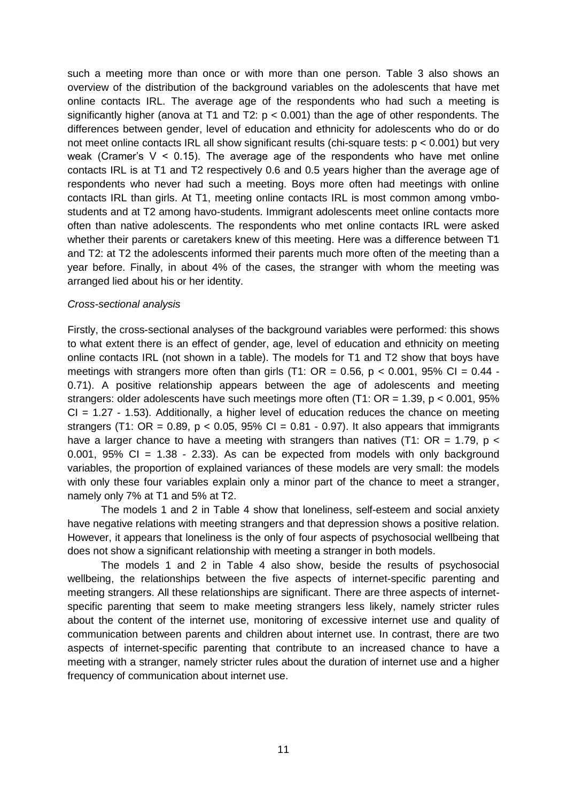such a meeting more than once or with more than one person. Table 3 also shows an overview of the distribution of the background variables on the adolescents that have met online contacts IRL. The average age of the respondents who had such a meeting is significantly higher (anova at T1 and T2:  $p < 0.001$ ) than the age of other respondents. The differences between gender, level of education and ethnicity for adolescents who do or do not meet online contacts IRL all show significant results (chi-square tests:  $p < 0.001$ ) but very weak (Cramer's  $V < 0.15$ ). The average age of the respondents who have met online contacts IRL is at T1 and T2 respectively 0.6 and 0.5 years higher than the average age of respondents who never had such a meeting. Boys more often had meetings with online contacts IRL than girls. At T1, meeting online contacts IRL is most common among vmbostudents and at T2 among havo-students. Immigrant adolescents meet online contacts more often than native adolescents. The respondents who met online contacts IRL were asked whether their parents or caretakers knew of this meeting. Here was a difference between T1 and T2: at T2 the adolescents informed their parents much more often of the meeting than a year before. Finally, in about 4% of the cases, the stranger with whom the meeting was arranged lied about his or her identity.

#### *Cross-sectional analysis*

Firstly, the cross-sectional analyses of the background variables were performed: this shows to what extent there is an effect of gender, age, level of education and ethnicity on meeting online contacts IRL (not shown in a table). The models for T1 and T2 show that boys have meetings with strangers more often than girls (T1:  $OR = 0.56$ ,  $p < 0.001$ , 95% CI = 0.44 -0.71). A positive relationship appears between the age of adolescents and meeting strangers: older adolescents have such meetings more often  $(T1: OR = 1.39, p < 0.001, 95\%$  $CI = 1.27 - 1.53$ ). Additionally, a higher level of education reduces the chance on meeting strangers (T1: OR = 0.89,  $p < 0.05$ , 95% CI = 0.81 - 0.97). It also appears that immigrants have a larger chance to have a meeting with strangers than natives (T1:  $OR = 1.79$ ,  $p <$ 0.001,  $95\%$  CI = 1.38 - 2.33). As can be expected from models with only background variables, the proportion of explained variances of these models are very small: the models with only these four variables explain only a minor part of the chance to meet a stranger, namely only 7% at T1 and 5% at T2.

The models 1 and 2 in Table 4 show that loneliness, self-esteem and social anxiety have negative relations with meeting strangers and that depression shows a positive relation. However, it appears that loneliness is the only of four aspects of psychosocial wellbeing that does not show a significant relationship with meeting a stranger in both models.

The models 1 and 2 in Table 4 also show, beside the results of psychosocial wellbeing, the relationships between the five aspects of internet-specific parenting and meeting strangers. All these relationships are significant. There are three aspects of internetspecific parenting that seem to make meeting strangers less likely, namely stricter rules about the content of the internet use, monitoring of excessive internet use and quality of communication between parents and children about internet use. In contrast, there are two aspects of internet-specific parenting that contribute to an increased chance to have a meeting with a stranger, namely stricter rules about the duration of internet use and a higher frequency of communication about internet use.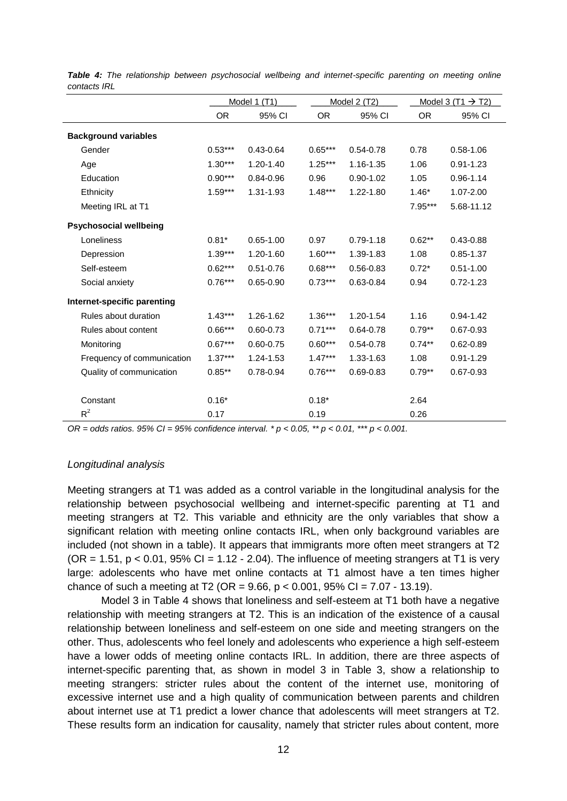|                               | Model 1 (T1) |               | Model 2 (T2) |               |           | Model 3 (T1 $\rightarrow$ T2) |
|-------------------------------|--------------|---------------|--------------|---------------|-----------|-------------------------------|
|                               | <b>OR</b>    | 95% CI        | <b>OR</b>    | 95% CI        | <b>OR</b> | 95% CI                        |
| <b>Background variables</b>   |              |               |              |               |           |                               |
| Gender                        | $0.53***$    | $0.43 - 0.64$ | $0.65***$    | $0.54 - 0.78$ | 0.78      | $0.58 - 1.06$                 |
| Age                           | $1.30***$    | 1.20-1.40     | $1.25***$    | 1.16-1.35     | 1.06      | $0.91 - 1.23$                 |
| Education                     | $0.90***$    | $0.84 - 0.96$ | 0.96         | $0.90 - 1.02$ | 1.05      | $0.96 - 1.14$                 |
| Ethnicity                     | $1.59***$    | 1.31-1.93     | $1.48***$    | 1.22-1.80     | $1.46*$   | 1.07-2.00                     |
| Meeting IRL at T1             |              |               |              |               | 7.95***   | 5.68-11.12                    |
| <b>Psychosocial wellbeing</b> |              |               |              |               |           |                               |
| Loneliness                    | $0.81*$      | $0.65 - 1.00$ | 0.97         | $0.79 - 1.18$ | $0.62**$  | $0.43 - 0.88$                 |
| Depression                    | $1.39***$    | 1.20-1.60     | $1.60***$    | 1.39-1.83     | 1.08      | $0.85 - 1.37$                 |
| Self-esteem                   | $0.62***$    | $0.51 - 0.76$ | $0.68***$    | $0.56 - 0.83$ | $0.72*$   | $0.51 - 1.00$                 |
| Social anxiety                | $0.76***$    | $0.65 - 0.90$ | $0.73***$    | 0.63-0.84     | 0.94      | $0.72 - 1.23$                 |
| Internet-specific parenting   |              |               |              |               |           |                               |
| Rules about duration          | $1.43***$    | 1.26-1.62     | $1.36***$    | 1.20-1.54     | 1.16      | $0.94 - 1.42$                 |
| Rules about content           | $0.66***$    | $0.60 - 0.73$ | $0.71***$    | $0.64 - 0.78$ | $0.79**$  | $0.67 - 0.93$                 |
| Monitoring                    | $0.67***$    | $0.60 - 0.75$ | $0.60***$    | $0.54 - 0.78$ | $0.74***$ | $0.62 - 0.89$                 |
| Frequency of communication    | $1.37***$    | 1.24-1.53     | $1.47***$    | 1.33-1.63     | 1.08      | $0.91 - 1.29$                 |
| Quality of communication      | $0.85***$    | 0.78-0.94     | $0.76***$    | $0.69 - 0.83$ | $0.79**$  | $0.67 - 0.93$                 |
| Constant                      | $0.16*$      |               | $0.18*$      |               | 2.64      |                               |
| $R^2$                         | 0.17         |               | 0.19         |               | 0.26      |                               |

*Table 4: The relationship between psychosocial wellbeing and internet-specific parenting on meeting online contacts IRL*

*OR = odds ratios. 95% CI = 95% confidence interval. \* p < 0.05, \*\* p < 0.01, \*\*\* p < 0.001.*

#### *Longitudinal analysis*

Meeting strangers at T1 was added as a control variable in the longitudinal analysis for the relationship between psychosocial wellbeing and internet-specific parenting at T1 and meeting strangers at T2. This variable and ethnicity are the only variables that show a significant relation with meeting online contacts IRL, when only background variables are included (not shown in a table). It appears that immigrants more often meet strangers at T2  $(OR = 1.51, p < 0.01, 95\% \text{ Cl} = 1.12 - 2.04)$ . The influence of meeting strangers at T1 is very large: adolescents who have met online contacts at T1 almost have a ten times higher chance of such a meeting at T2 (OR =  $9.66$ ,  $p < 0.001$ ,  $95\%$  CI =  $7.07 - 13.19$ ).

Model 3 in Table 4 shows that loneliness and self-esteem at T1 both have a negative relationship with meeting strangers at T2. This is an indication of the existence of a causal relationship between loneliness and self-esteem on one side and meeting strangers on the other. Thus, adolescents who feel lonely and adolescents who experience a high self-esteem have a lower odds of meeting online contacts IRL. In addition, there are three aspects of internet-specific parenting that, as shown in model 3 in Table 3, show a relationship to meeting strangers: stricter rules about the content of the internet use, monitoring of excessive internet use and a high quality of communication between parents and children about internet use at T1 predict a lower chance that adolescents will meet strangers at T2. These results form an indication for causality, namely that stricter rules about content, more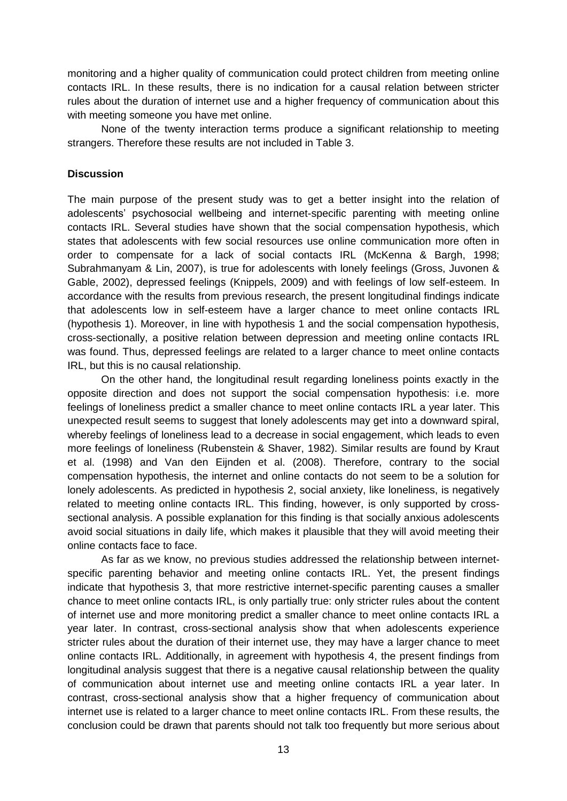monitoring and a higher quality of communication could protect children from meeting online contacts IRL. In these results, there is no indication for a causal relation between stricter rules about the duration of internet use and a higher frequency of communication about this with meeting someone you have met online.

None of the twenty interaction terms produce a significant relationship to meeting strangers. Therefore these results are not included in Table 3.

# **Discussion**

The main purpose of the present study was to get a better insight into the relation of adolescents' psychosocial wellbeing and internet-specific parenting with meeting online contacts IRL. Several studies have shown that the social compensation hypothesis, which states that adolescents with few social resources use online communication more often in order to compensate for a lack of social contacts IRL (McKenna & Bargh, 1998; Subrahmanyam & Lin, 2007), is true for adolescents with lonely feelings (Gross, Juvonen & Gable, 2002), depressed feelings (Knippels, 2009) and with feelings of low self-esteem. In accordance with the results from previous research, the present longitudinal findings indicate that adolescents low in self-esteem have a larger chance to meet online contacts IRL (hypothesis 1). Moreover, in line with hypothesis 1 and the social compensation hypothesis, cross-sectionally, a positive relation between depression and meeting online contacts IRL was found. Thus, depressed feelings are related to a larger chance to meet online contacts IRL, but this is no causal relationship.

On the other hand, the longitudinal result regarding loneliness points exactly in the opposite direction and does not support the social compensation hypothesis: i.e. more feelings of loneliness predict a smaller chance to meet online contacts IRL a year later. This unexpected result seems to suggest that lonely adolescents may get into a downward spiral, whereby feelings of loneliness lead to a decrease in social engagement, which leads to even more feelings of loneliness (Rubenstein & Shaver, 1982). Similar results are found by Kraut et al. (1998) and Van den Eijnden et al. (2008). Therefore, contrary to the social compensation hypothesis, the internet and online contacts do not seem to be a solution for lonely adolescents. As predicted in hypothesis 2, social anxiety, like loneliness, is negatively related to meeting online contacts IRL. This finding, however, is only supported by crosssectional analysis. A possible explanation for this finding is that socially anxious adolescents avoid social situations in daily life, which makes it plausible that they will avoid meeting their online contacts face to face.

As far as we know, no previous studies addressed the relationship between internetspecific parenting behavior and meeting online contacts IRL. Yet, the present findings indicate that hypothesis 3, that more restrictive internet-specific parenting causes a smaller chance to meet online contacts IRL, is only partially true: only stricter rules about the content of internet use and more monitoring predict a smaller chance to meet online contacts IRL a year later. In contrast, cross-sectional analysis show that when adolescents experience stricter rules about the duration of their internet use, they may have a larger chance to meet online contacts IRL. Additionally, in agreement with hypothesis 4, the present findings from longitudinal analysis suggest that there is a negative causal relationship between the quality of communication about internet use and meeting online contacts IRL a year later. In contrast, cross-sectional analysis show that a higher frequency of communication about internet use is related to a larger chance to meet online contacts IRL. From these results, the conclusion could be drawn that parents should not talk too frequently but more serious about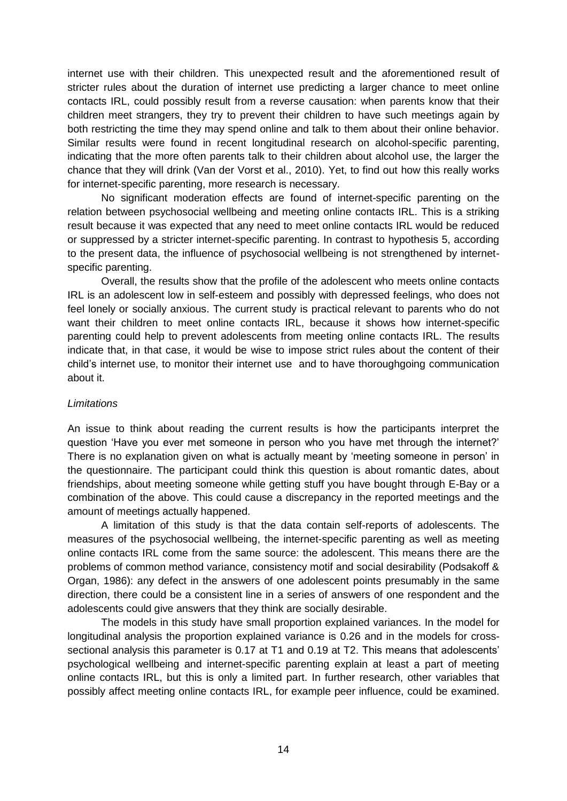internet use with their children. This unexpected result and the aforementioned result of stricter rules about the duration of internet use predicting a larger chance to meet online contacts IRL, could possibly result from a reverse causation: when parents know that their children meet strangers, they try to prevent their children to have such meetings again by both restricting the time they may spend online and talk to them about their online behavior. Similar results were found in recent longitudinal research on alcohol-specific parenting, indicating that the more often parents talk to their children about alcohol use, the larger the chance that they will drink (Van der Vorst et al., 2010). Yet, to find out how this really works for internet-specific parenting, more research is necessary.

No significant moderation effects are found of internet-specific parenting on the relation between psychosocial wellbeing and meeting online contacts IRL. This is a striking result because it was expected that any need to meet online contacts IRL would be reduced or suppressed by a stricter internet-specific parenting. In contrast to hypothesis 5, according to the present data, the influence of psychosocial wellbeing is not strengthened by internetspecific parenting.

Overall, the results show that the profile of the adolescent who meets online contacts IRL is an adolescent low in self-esteem and possibly with depressed feelings, who does not feel lonely or socially anxious. The current study is practical relevant to parents who do not want their children to meet online contacts IRL, because it shows how internet-specific parenting could help to prevent adolescents from meeting online contacts IRL. The results indicate that, in that case, it would be wise to impose strict rules about the content of their child"s internet use, to monitor their internet use and to have thoroughgoing communication about it.

# *Limitations*

An issue to think about reading the current results is how the participants interpret the question "Have you ever met someone in person who you have met through the internet?" There is no explanation given on what is actually meant by "meeting someone in person" in the questionnaire. The participant could think this question is about romantic dates, about friendships, about meeting someone while getting stuff you have bought through E-Bay or a combination of the above. This could cause a discrepancy in the reported meetings and the amount of meetings actually happened.

A limitation of this study is that the data contain self-reports of adolescents. The measures of the psychosocial wellbeing, the internet-specific parenting as well as meeting online contacts IRL come from the same source: the adolescent. This means there are the problems of common method variance, consistency motif and social desirability (Podsakoff & Organ, 1986): any defect in the answers of one adolescent points presumably in the same direction, there could be a consistent line in a series of answers of one respondent and the adolescents could give answers that they think are socially desirable.

The models in this study have small proportion explained variances. In the model for longitudinal analysis the proportion explained variance is 0.26 and in the models for crosssectional analysis this parameter is 0.17 at T1 and 0.19 at T2. This means that adolescents' psychological wellbeing and internet-specific parenting explain at least a part of meeting online contacts IRL, but this is only a limited part. In further research, other variables that possibly affect meeting online contacts IRL, for example peer influence, could be examined.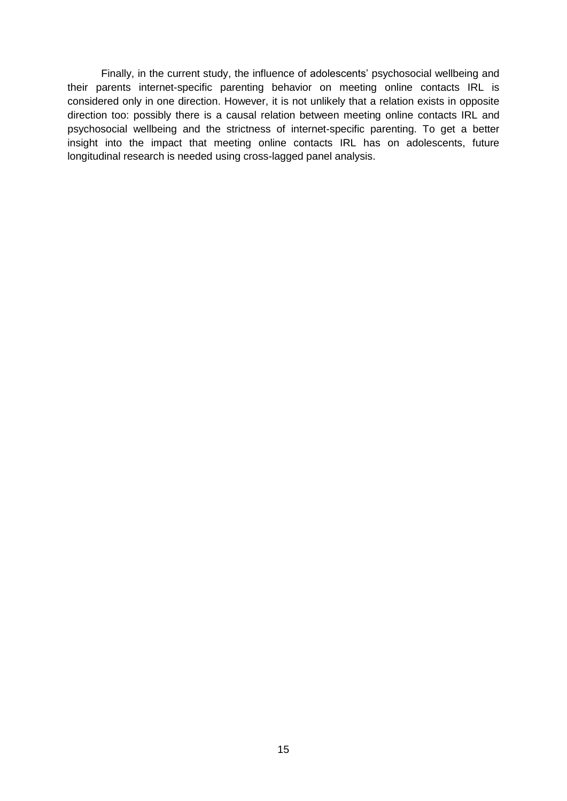Finally, in the current study, the influence of adolescents' psychosocial wellbeing and their parents internet-specific parenting behavior on meeting online contacts IRL is considered only in one direction. However, it is not unlikely that a relation exists in opposite direction too: possibly there is a causal relation between meeting online contacts IRL and psychosocial wellbeing and the strictness of internet-specific parenting. To get a better insight into the impact that meeting online contacts IRL has on adolescents, future longitudinal research is needed using cross-lagged panel analysis.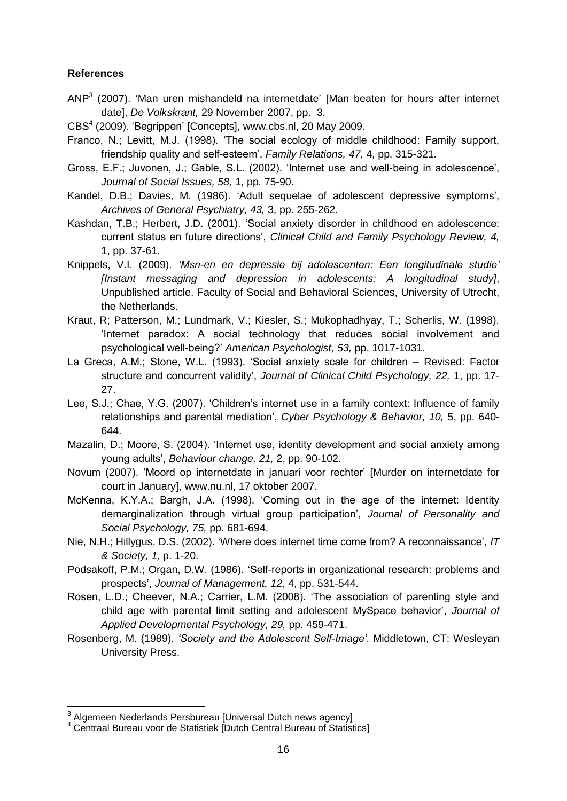## **References**

- ANP $3$  (2007). 'Man uren mishandeld na internetdate' [Man beaten for hours after internet date], *De Volkskrant,* 29 November 2007, pp. 3.
- CBS<sup>4</sup> (2009). 'Begrippen' [Concepts], www.cbs.nl, 20 May 2009.
- Franco, N.; Levitt, M.J. (1998). "The social ecology of middle childhood: Family support, friendship quality and self-esteem", *Family Relations, 47*, 4, pp. 315-321.
- Gross, E.F.; Juvonen, J.; Gable, S.L. (2002). "Internet use and well-being in adolescence", *Journal of Social Issues, 58,* 1, pp. 75-90.
- Kandel, D.B.; Davies, M. (1986). "Adult sequelae of adolescent depressive symptoms", *Archives of General Psychiatry, 43,* 3, pp. 255-262.
- Kashdan, T.B.; Herbert, J.D. (2001). "Social anxiety disorder in childhood en adolescence: current status en future directions", *Clinical Child and Family Psychology Review, 4,* 1, pp. 37-61.
- Knippels, V.I. (2009). *'Msn-en en depressie bij adolescenten: Een longitudinale studie' [Instant messaging and depression in adolescents: A longitudinal study]*, Unpublished article. Faculty of Social and Behavioral Sciences, University of Utrecht, the Netherlands.
- Kraut, R; Patterson, M.; Lundmark, V.; Kiesler, S.; Mukophadhyay, T.; Scherlis, W. (1998). "Internet paradox: A social technology that reduces social involvement and psychological well-being?" *American Psychologist, 53,* pp. 1017-1031.
- La Greca, A.M.; Stone, W.L. (1993). "Social anxiety scale for children Revised: Factor structure and concurrent validity", *Journal of Clinical Child Psychology, 22,* 1, pp. 17- 27.
- Lee, S.J.; Chae, Y.G. (2007). "Children"s internet use in a family context: Influence of family relationships and parental mediation", *Cyber Psychology & Behavior, 10,* 5, pp. 640- 644.
- Mazalin, D.; Moore, S. (2004). "Internet use, identity development and social anxiety among young adults", *Behaviour change, 21,* 2, pp. 90-102.
- Novum (2007). "Moord op internetdate in januari voor rechter" [Murder on internetdate for court in January], www.nu.nl, 17 oktober 2007.
- McKenna, K.Y.A.; Bargh, J.A. (1998). "Coming out in the age of the internet: Identity demarginalization through virtual group participation", *Journal of Personality and Social Psychology, 75,* pp. 681-694.
- Nie, N.H.; Hillygus, D.S. (2002). "Where does internet time come from? A reconnaissance", *IT & Society, 1,* p. 1-20.
- Podsakoff, P.M.; Organ, D.W. (1986). "Self-reports in organizational research: problems and prospects", *Journal of Management, 12*, 4, pp. 531-544.
- Rosen, L.D.; Cheever, N.A.; Carrier, L.M. (2008). "The association of parenting style and child age with parental limit setting and adolescent MySpace behavior", *Journal of Applied Developmental Psychology, 29,* pp. 459-471.
- Rosenberg, M. (1989). *'Society and the Adolescent Self-Image'*. Middletown, CT: Wesleyan University Press.

 3 Algemeen Nederlands Persbureau [Universal Dutch news agency]

<sup>4</sup> Centraal Bureau voor de Statistiek [Dutch Central Bureau of Statistics]